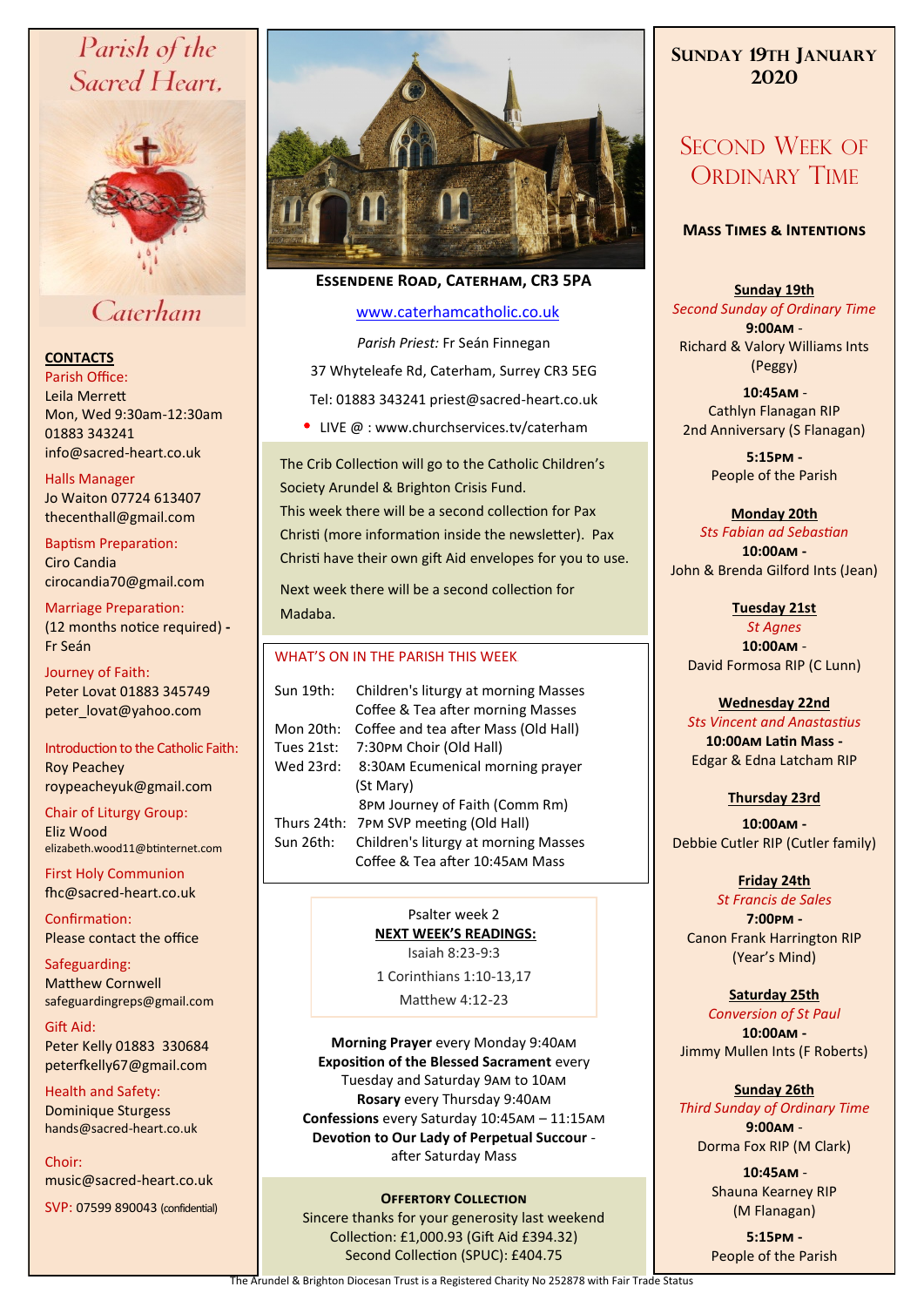# Parish of the Sacred Heart.



# Caterham

#### **CONTACTS**

Parish Office: Leila Merrett Mon, Wed 9:30am-12:30am 01883 343241 info@sacred-heart.co.uk .

#### Halls Manager

Jo Waiton 07724 613407 thecenthall@gmail.com

Baptism Preparation: Ciro Candia cirocandia70@gmail.com

Marriage Preparation: (12 months notice required) **-** Fr Seán

Journey of Faith: Peter Lovat 01883 345749 peter\_lovat@yahoo.com

Introduction to the Catholic Faith: Roy Peachey roypeacheyuk@gmail.com

Chair of Liturgy Group: Eliz Wood elizabeth.wood11@btinternet.com

First Holy Communion fhc@sacred-heart.co.uk

Confirmation: Please contact the office

Safeguarding: Matthew Cornwell safeguardingreps@gmail.com

Gift Aid: Peter Kelly 01883 330684 peterfkelly67@gmail.com

Health and Safety: Dominique Sturgess hands@sacred-heart.co.uk

Choir: music@sacred-heart.co.uk

SVP: 07599 890043 (confidential)



### **Essendene Road, Caterham, CR3 5PA**

#### [www.caterhamcatholic.co.uk](http://Www.caterhamcatholic.co.uk)

*Parish Priest:* Fr Seán Finnegan 37 Whyteleafe Rd, Caterham, Surrey CR3 5EG Tel: 01883 343241 priest@sacred-heart.co.uk

• LIVE  $@:www.churchservices.tv/caterham$ 

The Crib Collection will go to the Catholic Children's Society Arundel & Brighton Crisis Fund. This week there will be a second collection for Pax Christi (more information inside the newsletter). Pax Christi have their own gift Aid envelopes for you to use.

Next week there will be a second collection for Madaba.

#### WHAT'S ON IN THE PARISH THIS WEEK.

| Sun 19th:   | Children's liturgy at morning Masses                                    |
|-------------|-------------------------------------------------------------------------|
|             | Coffee & Tea after morning Masses                                       |
| Mon 20th:   | Coffee and tea after Mass (Old Hall)                                    |
| Tues 21st:  | 7:30PM Choir (Old Hall)                                                 |
| Wed 23rd:   | 8:30AM Ecumenical morning prayer                                        |
|             | (St Mary)                                                               |
|             | 8PM Journey of Faith (Comm Rm)                                          |
| Thurs 24th: | 7PM SVP meeting (Old Hall)                                              |
| Sun 26th:   | Children's liturgy at morning Masses<br>Coffee & Tea after 10:45AM Mass |

Psalter week 2 **NEXT WEEK'S READINGS:**  Isaiah 8:23-9:3

1 Corinthians 1:10-13,17

Matthew 4:12-23

**Morning Prayer** every Monday 9:40am **Exposition of the Blessed Sacrament** every Tuesday and Saturday 9am to 10am **Rosary** every Thursday 9:40am **Confessions** every Saturday 10:45am – 11:15am **Devotion to Our Lady of Perpetual Succour**  after Saturday Mass

#### **OFFERTORY COLLECTION**

Sincere thanks for your generosity last weekend Collection: £1,000.93 (Gift Aid £394.32) Second Collection (SPUC): £404.75

## **SUNDAY 19TH JANUARY 2020**

# SECOND WEEK OF ORDINARY TIME

#### **Mass Times & Intentions**

#### **Sunday 19th**

*Second Sunday of Ordinary Time* **9:00am** - Richard & Valory Williams Ints (Peggy)

.**10:45am** - Cathlyn Flanagan RIP 2nd Anniversary (S Flanagan)

> **5:15pm -** People of the Parish

#### **Monday 20th**  *Sts Fabian ad Sebastian* **10:00am -** John & Brenda Gilford Ints (Jean)

**Tuesday 21st** *St Agnes*

**10:00am** - David Formosa RIP (C Lunn)

## **Wednesday 22nd**

*Sts Vincent and Anastastius* **10:00am Latin Mass -** Edgar & Edna Latcham RIP

## **Thursday 23rd**

**10:00am -** Debbie Cutler RIP (Cutler family)

## **Friday 24th**

*St Francis de Sales* **7:00pm -** Canon Frank Harrington RIP (Year's Mind)

### **Saturday 25th**

*Conversion of St Paul* **10:00am -**  Jimmy Mullen Ints (F Roberts)

## **Sunday 26th**

*Third Sunday of Ordinary Time* **9:00am** - Dorma Fox RIP (M Clark)

> .**10:45am** - Shauna Kearney RIP (M Flanagan)

**5:15pm -** People of the Parish

The Arundel & Brighton Diocesan Trust is a Registered Charity No 252878 with Fair Trade Status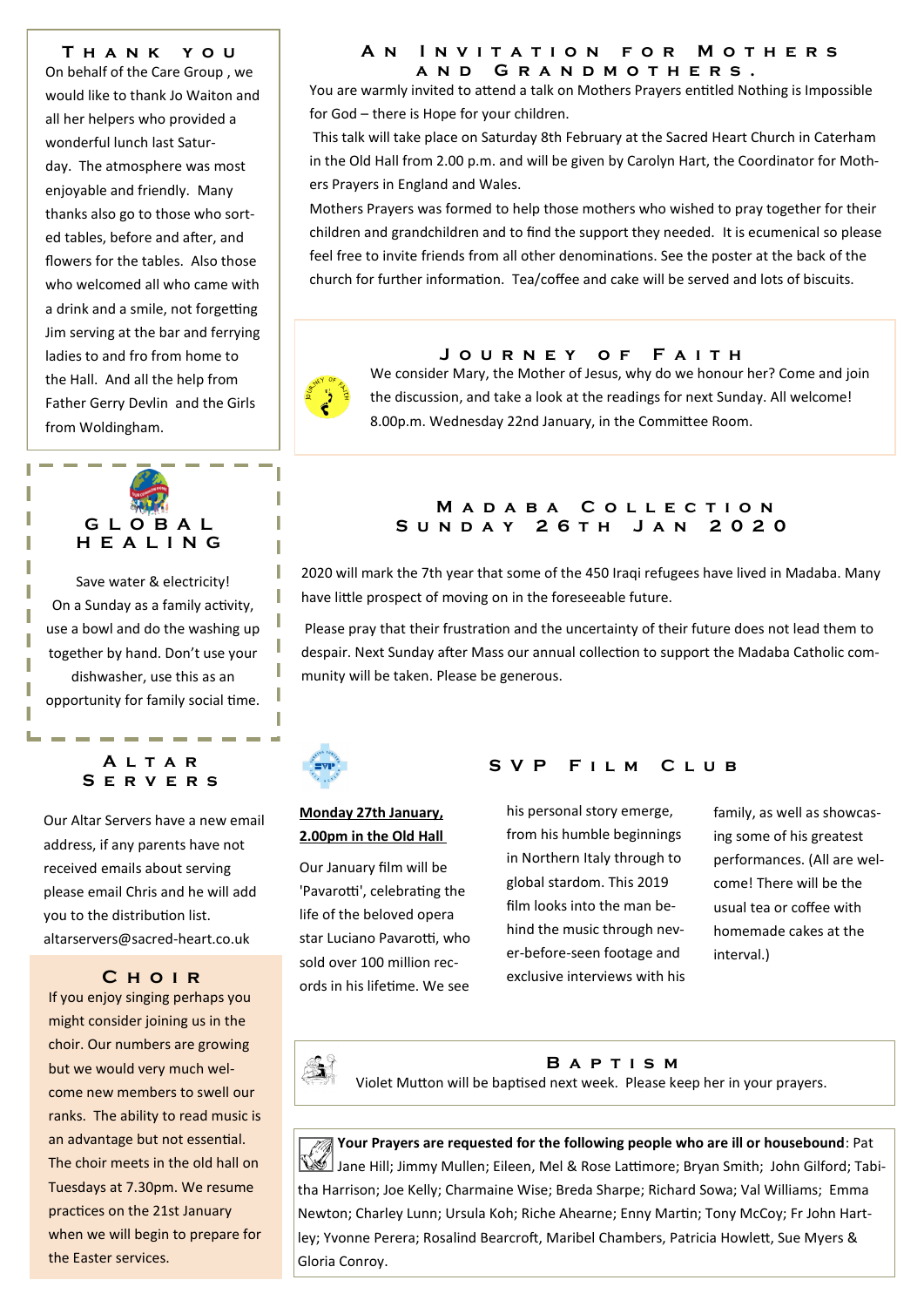**T h a n k y o u**  On behalf of the Care Group , we would like to thank Jo Waiton and all her helpers who provided a wonderful lunch last Saturday. The atmosphere was most enjoyable and friendly. Many thanks also go to those who sorted tables, before and after, and flowers for the tables. Also those who welcomed all who came with a drink and a smile, not forgetting Jim serving at the bar and ferrying ladies to and fro from home to the Hall. And all the help from Father Gerry Devlin and the Girls from Woldingham.

## **G L O B A L H E A L I N G**

Save water & electricity! On a Sunday as a family activity, use a bowl and do the washing up together by hand. Don't use your dishwasher, use this as an opportunity for family social time.

#### **A l t a r S e r v e r s**

Our Altar Servers have a new email address, if any parents have not received emails about serving please email Chris and he will add you to the distribution list. altarservers@sacred-heart.co.uk

### **C h o i r**

If you enjoy singing perhaps you might consider joining us in the choir. Our numbers are growing but we would very much welcome new members to swell our ranks. The ability to read music is an advantage but not essential. The choir meets in the old hall on Tuesdays at 7.30pm. We resume practices on the 21st January when we will begin to prepare for the Easter services.

#### **A n I n v i t a t i o n f o r M o t h e r s a n d G r a n d m o t h e r s .**

You are warmly invited to attend a talk on Mothers Prayers entitled Nothing is Impossible for God – there is Hope for your children.

This talk will take place on Saturday 8th February at the Sacred Heart Church in Caterham in the Old Hall from 2.00 p.m. and will be given by Carolyn Hart, the Coordinator for Mothers Prayers in England and Wales.

Mothers Prayers was formed to help those mothers who wished to pray together for their children and grandchildren and to find the support they needed. It is ecumenical so please feel free to invite friends from all other denominations. See the poster at the back of the church for further information. Tea/coffee and cake will be served and lots of biscuits.

## **J o u r n e y o f F a i t h**

We consider Mary, the Mother of Jesus, why do we honour her? Come and join the discussion, and take a look at the readings for next Sunday. All welcome! 8.00p.m. Wednesday 22nd January, in the Committee Room.

#### **M a d a b a C o l l e c t i o n S u n d a y 2 6 t h J a n 2 0 2 0**

2020 will mark the 7th year that some of the 450 Iraqi refugees have lived in Madaba. Many have little prospect of moving on in the foreseeable future.

Please pray that their frustration and the uncertainty of their future does not lead them to despair. Next Sunday after Mass our annual collection to support the Madaba Catholic community will be taken. Please be generous.



#### **Monday 27th January, 2.00pm in the Old Hall**

Our January film will be 'Pavarotti', celebrating the life of the beloved opera star Luciano Pavarotti, who sold over 100 million records in his lifetime. We see

## **S V P F i l m C l u b**

his personal story emerge, from his humble beginnings in Northern Italy through to global stardom. This 2019 film looks into the man behind the music through never-before-seen footage and exclusive interviews with his

family, as well as showcasing some of his greatest performances. (All are welcome! There will be the usual tea or coffee with homemade cakes at the interval.)



## **B a p t i s m**

Violet Mutton will be baptised next week. Please keep her in your prayers.

**Your Prayers are requested for the following people who are ill or housebound**: Pat Jane Hill; Jimmy Mullen; Eileen, Mel & Rose Lattimore; Bryan Smith; John Gilford; Tabitha Harrison; Joe Kelly; Charmaine Wise; Breda Sharpe; Richard Sowa; Val Williams; Emma Newton; Charley Lunn; Ursula Koh; Riche Ahearne; Enny Martin; Tony McCoy; Fr John Hartley; Yvonne Perera; Rosalind Bearcroft, Maribel Chambers, Patricia Howlett, Sue Myers & Gloria Conroy.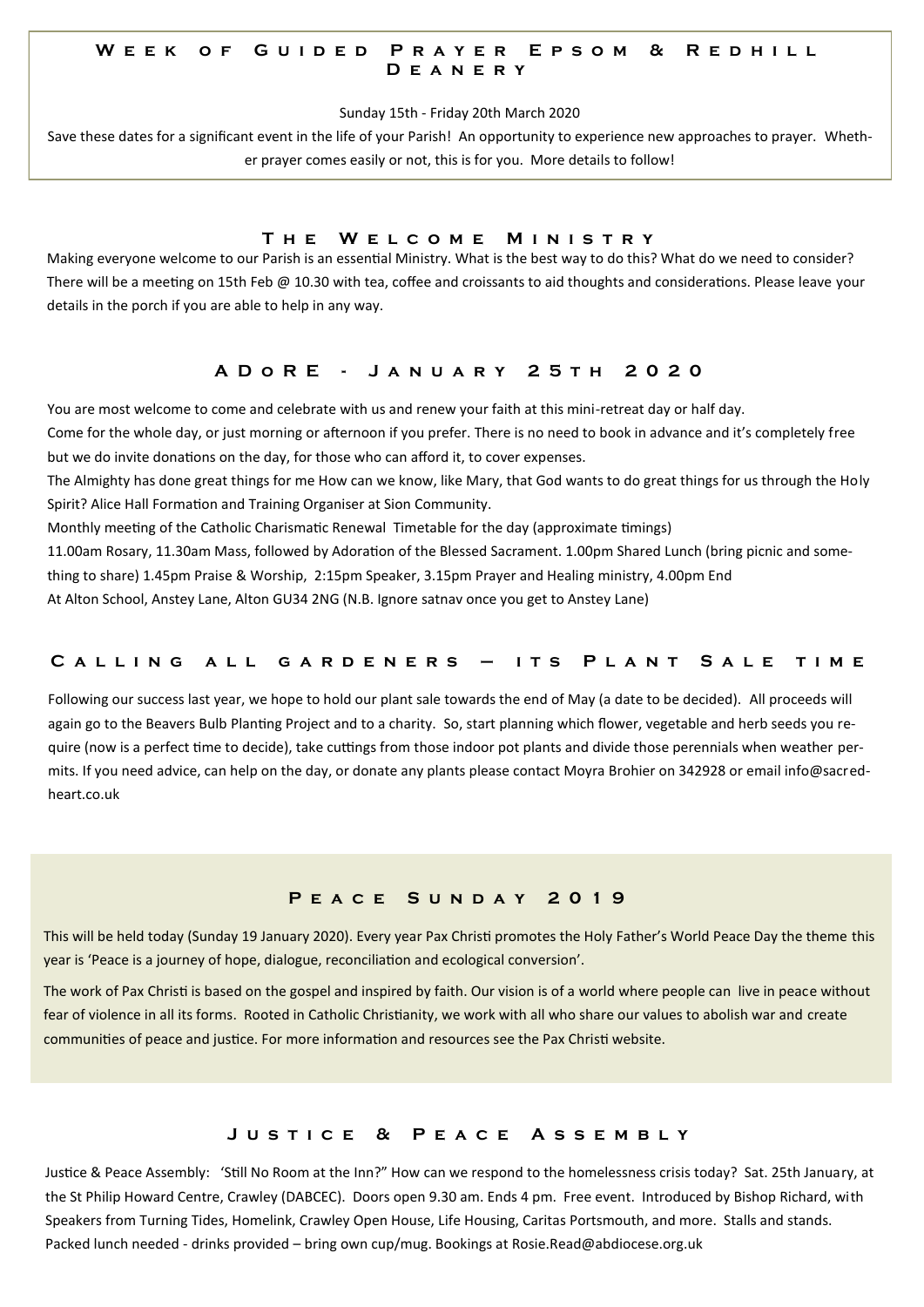#### W E E K O F G U I D E D P R A Y E R E P S O M & R E D H I L L **D e a n e r y**

Sunday 15th - Friday 20th March 2020

Save these dates for a significant event in the life of your Parish! An opportunity to experience new approaches to prayer. Whether prayer comes easily or not, this is for you. More details to follow!

#### **T h e W e l c o m e M i n i s t r y**

Making everyone welcome to our Parish is an essential Ministry. What is the best way to do this? What do we need to consider? There will be a meeting on 15th Feb @ 10.30 with tea, coffee and croissants to aid thoughts and considerations. Please leave your details in the porch if you are able to help in any way.

#### **A D o R E - J a n u a r y 2 5 t h 2 0 2 0**

You are most welcome to come and celebrate with us and renew your faith at this mini-retreat day or half day.

Come for the whole day, or just morning or afternoon if you prefer. There is no need to book in advance and it's completely free but we do invite donations on the day, for those who can afford it, to cover expenses.

The Almighty has done great things for me How can we know, like Mary, that God wants to do great things for us through the Holy Spirit? Alice Hall Formation and Training Organiser at Sion Community.

Monthly meeting of the Catholic Charismatic Renewal Timetable for the day (approximate timings)

11.00am Rosary, 11.30am Mass, followed by Adoration of the Blessed Sacrament. 1.00pm Shared Lunch (bring picnic and some-

thing to share) 1.45pm Praise & Worship, 2:15pm Speaker, 3.15pm Prayer and Healing ministry, 4.00pm End

At Alton School, Anstey Lane, Alton GU34 2NG (N.B. Ignore satnav once you get to Anstey Lane)

#### **C a l l i n g a l l g a r d e n e r s – i t s P l a n t S a l e t i m e**

Following our success last year, we hope to hold our plant sale towards the end of May (a date to be decided). All proceeds will again go to the Beavers Bulb Planting Project and to a charity. So, start planning which flower, vegetable and herb seeds you require (now is a perfect time to decide), take cuttings from those indoor pot plants and divide those perennials when weather permits. If you need advice, can help on the day, or donate any plants please contact Moyra Brohier on 342928 or email info@sacredheart.co.uk

#### **P e a c e S u n d a y 2 0 1 9**

This will be held today (Sunday 19 January 2020). Every year Pax Christi promotes the Holy Father's World Peace Day the theme this year is 'Peace is a journey of hope, dialogue, reconciliation and ecological conversion'.

The work of Pax Christi is based on the gospel and inspired by faith. Our vision is of a world where people can live in peace without fear of violence in all its forms. Rooted in Catholic Christianity, we work with all who share our values to abolish war and create communities of peace and justice. For more information and resources see the Pax Christi website.

#### **J u s t i c e & P e a c e A s s e m b l y**

Justice & Peace Assembly: 'Still No Room at the Inn?" How can we respond to the homelessness crisis today? Sat. 25th January, at the St Philip Howard Centre, Crawley (DABCEC). Doors open 9.30 am. Ends 4 pm. Free event. Introduced by Bishop Richard, with Speakers from Turning Tides, Homelink, Crawley Open House, Life Housing, Caritas Portsmouth, and more. Stalls and stands. Packed lunch needed - drinks provided – bring own cup/mug. Bookings at Rosie.Read@abdiocese.org.uk